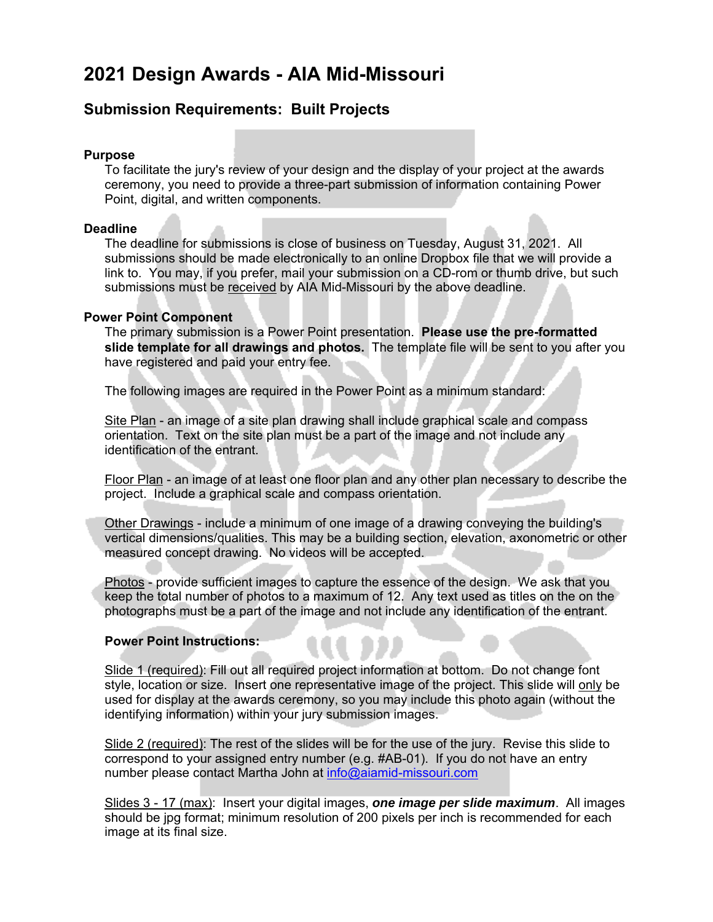# **2021 Design Awards - AIA Mid-Missouri**

### **Submission Requirements: Built Projects**

#### **Purpose**

To facilitate the jury's review of your design and the display of your project at the awards ceremony, you need to provide a three-part submission of information containing Power Point, digital, and written components.

#### **Deadline**

The deadline for submissions is close of business on Tuesday, August 31, 2021. All submissions should be made electronically to an online Dropbox file that we will provide a link to. You may, if you prefer, mail your submission on a CD-rom or thumb drive, but such submissions must be received by AIA Mid-Missouri by the above deadline.

#### **Power Point Component**

The primary submission is a Power Point presentation. **Please use the pre-formatted slide template for all drawings and photos.** The template file will be sent to you after you have registered and paid your entry fee.

The following images are required in the Power Point as a minimum standard:

Site Plan - an image of a site plan drawing shall include graphical scale and compass orientation. Text on the site plan must be a part of the image and not include any identification of the entrant.

Floor Plan - an image of at least one floor plan and any other plan necessary to describe the project. Include a graphical scale and compass orientation.

Other Drawings - include a minimum of one image of a drawing conveying the building's vertical dimensions/qualities. This may be a building section, elevation, axonometric or other measured concept drawing. No videos will be accepted.

Photos - provide sufficient images to capture the essence of the design. We ask that you keep the total number of photos to a maximum of 12. Any text used as titles on the on the photographs must be a part of the image and not include any identification of the entrant.

#### **Power Point Instructions:**

Slide 1 (required): Fill out all required project information at bottom. Do not change font style, location or size. Insert one representative image of the project. This slide will only be used for display at the awards ceremony, so you may include this photo again (without the identifying information) within your jury submission images.

Slide 2 (required): The rest of the slides will be for the use of the jury. Revise this slide to correspond to your assigned entry number (e.g. #AB-01). If you do not have an entry number please contact Martha John at info@aiamid-missouri.com

Slides 3 - 17 (max): Insert your digital images, *one image per slide maximum*. All images should be jpg format; minimum resolution of 200 pixels per inch is recommended for each image at its final size.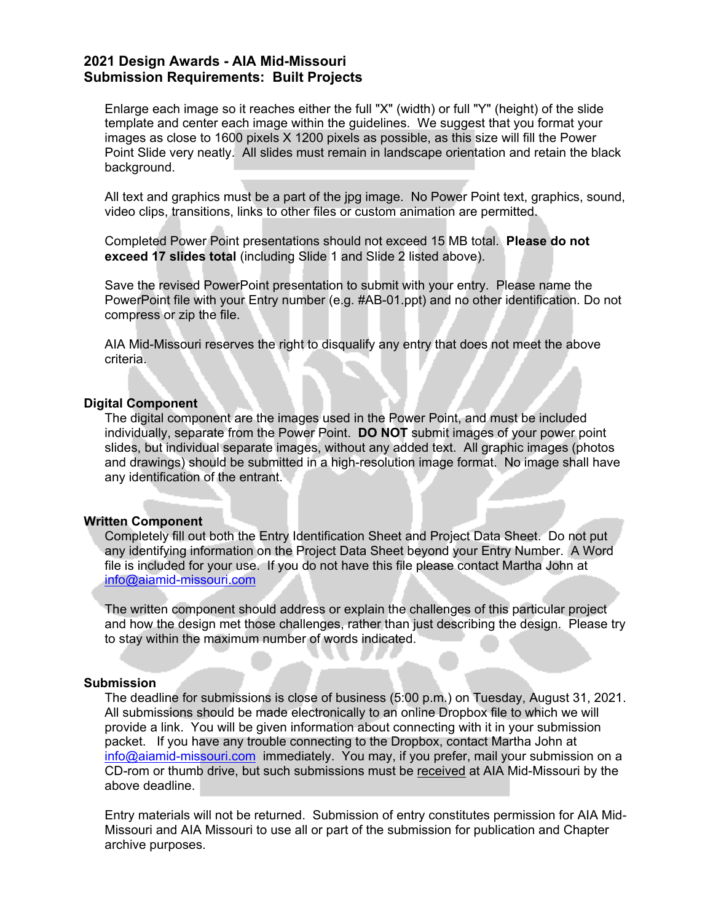### **2021 Design Awards - AIA Mid-Missouri Submission Requirements: Built Projects**

Enlarge each image so it reaches either the full "X" (width) or full "Y" (height) of the slide template and center each image within the guidelines. We suggest that you format your images as close to 1600 pixels X 1200 pixels as possible, as this size will fill the Power Point Slide very neatly. All slides must remain in landscape orientation and retain the black background.

All text and graphics must be a part of the jpg image. No Power Point text, graphics, sound, video clips, transitions, links to other files or custom animation are permitted.

Completed Power Point presentations should not exceed 15 MB total. **Please do not exceed 17 slides total** (including Slide 1 and Slide 2 listed above).

Save the revised PowerPoint presentation to submit with your entry. Please name the PowerPoint file with your Entry number (e.g. #AB-01.ppt) and no other identification. Do not compress or zip the file.

AIA Mid-Missouri reserves the right to disqualify any entry that does not meet the above criteria.

#### **Digital Component**

The digital component are the images used in the Power Point, and must be included individually, separate from the Power Point. **DO NOT** submit images of your power point slides, but individual separate images, without any added text. All graphic images (photos and drawings) should be submitted in a high-resolution image format. No image shall have any identification of the entrant.

#### **Written Component**

Completely fill out both the Entry Identification Sheet and Project Data Sheet. Do not put any identifying information on the Project Data Sheet beyond your Entry Number. A Word file is included for your use. If you do not have this file please contact Martha John at info@aiamid-missouri.com

The written component should address or explain the challenges of this particular project and how the design met those challenges, rather than just describing the design. Please try to stay within the maximum number of words indicated.

#### **Submission**

The deadline for submissions is close of business (5:00 p.m.) on Tuesday, August 31, 2021. All submissions should be made electronically to an online Dropbox file to which we will provide a link. You will be given information about connecting with it in your submission packet. If you have any trouble connecting to the Dropbox, contact Martha John at info@aiamid-missouri.com immediately. You may, if you prefer, mail your submission on a CD-rom or thumb drive, but such submissions must be received at AIA Mid-Missouri by the above deadline.

Entry materials will not be returned. Submission of entry constitutes permission for AIA Mid-Missouri and AIA Missouri to use all or part of the submission for publication and Chapter archive purposes.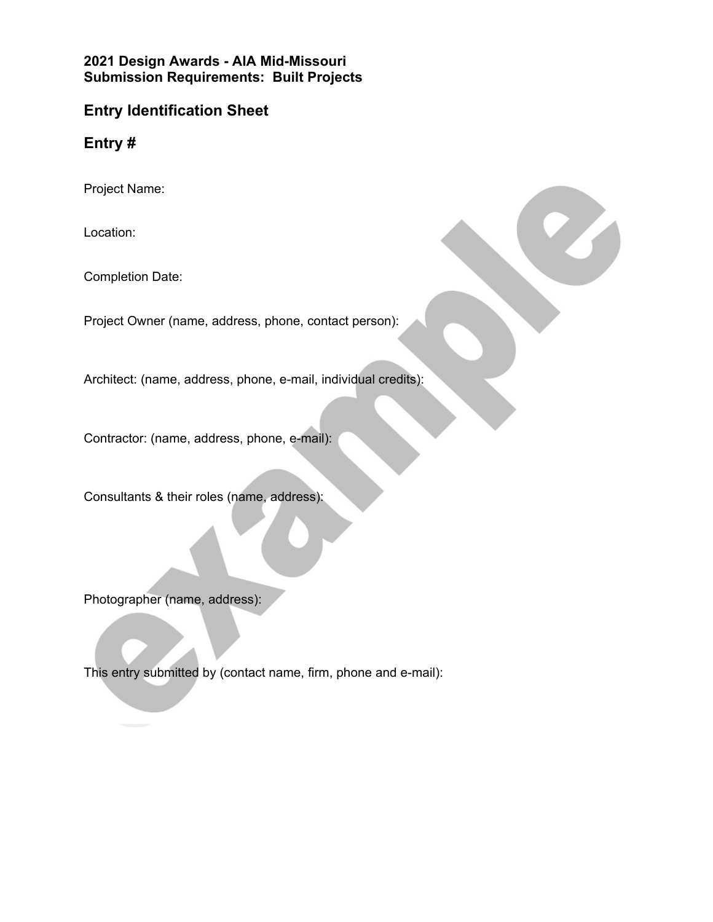**2021 Design Awards - AIA Mid-Missouri Submission Requirements: Built Projects**

## **Entry Identification Sheet**

**Entry #**

Project Name:

Location:

Completion Date:

Project Owner (name, address, phone, contact person):

Architect: (name, address, phone, e-mail, individual credits):

Contractor: (name, address, phone, e-mail):

Consultants & their roles (name, address):

Photographer (name, address):

This entry submitted by (contact name, firm, phone and e-mail):